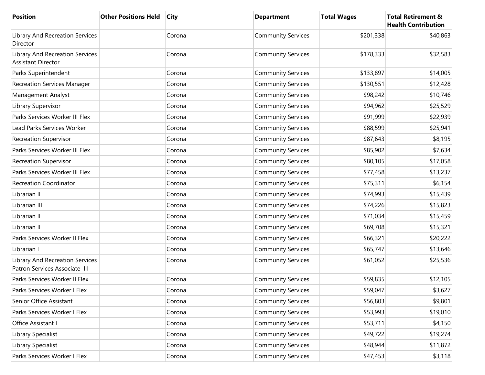| <b>Position</b>                                                     | <b>Other Positions Held</b> | City   | <b>Department</b>         | <b>Total Wages</b> | <b>Total Retirement &amp;</b><br><b>Health Contribution</b> |
|---------------------------------------------------------------------|-----------------------------|--------|---------------------------|--------------------|-------------------------------------------------------------|
| <b>Library And Recreation Services</b><br>Director                  |                             | Corona | <b>Community Services</b> | \$201,338          | \$40,863                                                    |
| <b>Library And Recreation Services</b><br><b>Assistant Director</b> |                             | Corona | <b>Community Services</b> | \$178,333          | \$32,583                                                    |
| Parks Superintendent                                                |                             | Corona | <b>Community Services</b> | \$133,897          | \$14,005                                                    |
| <b>Recreation Services Manager</b>                                  |                             | Corona | <b>Community Services</b> | \$130,551          | \$12,428                                                    |
| Management Analyst                                                  |                             | Corona | <b>Community Services</b> | \$98,242           | \$10,746                                                    |
| Library Supervisor                                                  |                             | Corona | <b>Community Services</b> | \$94,962           | \$25,529                                                    |
| Parks Services Worker III Flex                                      |                             | Corona | <b>Community Services</b> | \$91,999           | \$22,939                                                    |
| Lead Parks Services Worker                                          |                             | Corona | <b>Community Services</b> | \$88,599           | \$25,941                                                    |
| <b>Recreation Supervisor</b>                                        |                             | Corona | <b>Community Services</b> | \$87,643           | \$8,195                                                     |
| Parks Services Worker III Flex                                      |                             | Corona | <b>Community Services</b> | \$85,902           | \$7,634                                                     |
| <b>Recreation Supervisor</b>                                        |                             | Corona | <b>Community Services</b> | \$80,105           | \$17,058                                                    |
| Parks Services Worker III Flex                                      |                             | Corona | <b>Community Services</b> | \$77,458           | \$13,237                                                    |
| <b>Recreation Coordinator</b>                                       |                             | Corona | <b>Community Services</b> | \$75,311           | \$6,154                                                     |
| Librarian II                                                        |                             | Corona | <b>Community Services</b> | \$74,993           | \$15,439                                                    |
| Librarian III                                                       |                             | Corona | <b>Community Services</b> | \$74,226           | \$15,823                                                    |
| Librarian II                                                        |                             | Corona | <b>Community Services</b> | \$71,034           | \$15,459                                                    |
| Librarian II                                                        |                             | Corona | <b>Community Services</b> | \$69,708           | \$15,321                                                    |
| Parks Services Worker II Flex                                       |                             | Corona | <b>Community Services</b> | \$66,321           | \$20,222                                                    |
| Librarian I                                                         |                             | Corona | <b>Community Services</b> | \$65,747           | \$13,646                                                    |
| Library And Recreation Services<br>Patron Services Associate III    |                             | Corona | <b>Community Services</b> | \$61,052           | \$25,536                                                    |
| Parks Services Worker II Flex                                       |                             | Corona | <b>Community Services</b> | \$59,835           | \$12,105                                                    |
| Parks Services Worker I Flex                                        |                             | Corona | <b>Community Services</b> | \$59,047           | \$3,627                                                     |
| Senior Office Assistant                                             |                             | Corona | <b>Community Services</b> | \$56,803           | \$9,801                                                     |
| Parks Services Worker I Flex                                        |                             | Corona | <b>Community Services</b> | \$53,993           | \$19,010                                                    |
| Office Assistant I                                                  |                             | Corona | <b>Community Services</b> | \$53,711           | \$4,150                                                     |
| Library Specialist                                                  |                             | Corona | <b>Community Services</b> | \$49,722           | \$19,274                                                    |
| Library Specialist                                                  |                             | Corona | <b>Community Services</b> | \$48,944           | \$11,872                                                    |
| Parks Services Worker I Flex                                        |                             | Corona | <b>Community Services</b> | \$47,453           | \$3,118                                                     |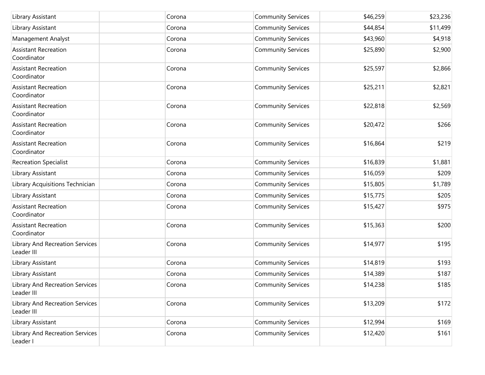| Library Assistant                                    | Corona | <b>Community Services</b> | \$46,259 | \$23,236 |
|------------------------------------------------------|--------|---------------------------|----------|----------|
| Library Assistant                                    | Corona | <b>Community Services</b> | \$44,854 | \$11,499 |
| Management Analyst                                   | Corona | <b>Community Services</b> | \$43,960 | \$4,918  |
| <b>Assistant Recreation</b><br>Coordinator           | Corona | <b>Community Services</b> | \$25,890 | \$2,900  |
| <b>Assistant Recreation</b><br>Coordinator           | Corona | <b>Community Services</b> | \$25,597 | \$2,866  |
| <b>Assistant Recreation</b><br>Coordinator           | Corona | <b>Community Services</b> | \$25,211 | \$2,821  |
| <b>Assistant Recreation</b><br>Coordinator           | Corona | <b>Community Services</b> | \$22,818 | \$2,569  |
| <b>Assistant Recreation</b><br>Coordinator           | Corona | <b>Community Services</b> | \$20,472 | \$266    |
| <b>Assistant Recreation</b><br>Coordinator           | Corona | <b>Community Services</b> | \$16,864 | \$219    |
| <b>Recreation Specialist</b>                         | Corona | <b>Community Services</b> | \$16,839 | \$1,881  |
| Library Assistant                                    | Corona | <b>Community Services</b> | \$16,059 | \$209    |
| Library Acquisitions Technician                      | Corona | <b>Community Services</b> | \$15,805 | \$1,789  |
| Library Assistant                                    | Corona | <b>Community Services</b> | \$15,775 | \$205    |
| <b>Assistant Recreation</b><br>Coordinator           | Corona | <b>Community Services</b> | \$15,427 | \$975    |
| <b>Assistant Recreation</b><br>Coordinator           | Corona | <b>Community Services</b> | \$15,363 | \$200    |
| Library And Recreation Services<br>Leader III        | Corona | <b>Community Services</b> | \$14,977 | \$195    |
| Library Assistant                                    | Corona | <b>Community Services</b> | \$14,819 | \$193    |
| Library Assistant                                    | Corona | <b>Community Services</b> | \$14,389 | \$187    |
| <b>Library And Recreation Services</b><br>Leader III | Corona | <b>Community Services</b> | \$14,238 | \$185    |
| Library And Recreation Services<br>Leader III        | Corona | <b>Community Services</b> | \$13,209 | \$172    |
| Library Assistant                                    | Corona | <b>Community Services</b> | \$12,994 | \$169    |
| Library And Recreation Services<br>Leader I          | Corona | <b>Community Services</b> | \$12,420 | \$161    |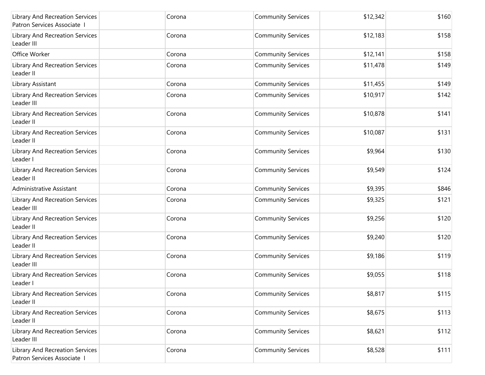| <b>Library And Recreation Services</b><br>Patron Services Associate I | Corona | <b>Community Services</b> | \$12,342 | \$160 |
|-----------------------------------------------------------------------|--------|---------------------------|----------|-------|
| Library And Recreation Services<br>Leader III                         | Corona | <b>Community Services</b> | \$12,183 | \$158 |
| Office Worker                                                         | Corona | <b>Community Services</b> | \$12,141 | \$158 |
| Library And Recreation Services<br>Leader II                          | Corona | <b>Community Services</b> | \$11,478 | \$149 |
| Library Assistant                                                     | Corona | <b>Community Services</b> | \$11,455 | \$149 |
| <b>Library And Recreation Services</b><br>Leader III                  | Corona | <b>Community Services</b> | \$10,917 | \$142 |
| <b>Library And Recreation Services</b><br>Leader II                   | Corona | <b>Community Services</b> | \$10,878 | \$141 |
| Library And Recreation Services<br>Leader II                          | Corona | <b>Community Services</b> | \$10,087 | \$131 |
| <b>Library And Recreation Services</b><br>Leader I                    | Corona | <b>Community Services</b> | \$9,964  | \$130 |
| <b>Library And Recreation Services</b><br>Leader II                   | Corona | <b>Community Services</b> | \$9,549  | \$124 |
| Administrative Assistant                                              | Corona | <b>Community Services</b> | \$9,395  | \$846 |
| Library And Recreation Services<br>Leader III                         | Corona | <b>Community Services</b> | \$9,325  | \$121 |
| <b>Library And Recreation Services</b><br>Leader II                   | Corona | <b>Community Services</b> | \$9,256  | \$120 |
| <b>Library And Recreation Services</b><br>Leader II                   | Corona | <b>Community Services</b> | \$9,240  | \$120 |
| <b>Library And Recreation Services</b><br>Leader III                  | Corona | <b>Community Services</b> | \$9,186  | \$119 |
| Library And Recreation Services<br>Leader I                           | Corona | <b>Community Services</b> | \$9,055  | \$118 |
| <b>Library And Recreation Services</b><br>Leader II                   | Corona | <b>Community Services</b> | \$8,817  | \$115 |
| <b>Library And Recreation Services</b><br>Leader II                   | Corona | <b>Community Services</b> | \$8,675  | \$113 |
| <b>Library And Recreation Services</b><br>Leader III                  | Corona | <b>Community Services</b> | \$8,621  | \$112 |
| Library And Recreation Services<br>Patron Services Associate I        | Corona | <b>Community Services</b> | \$8,528  | \$111 |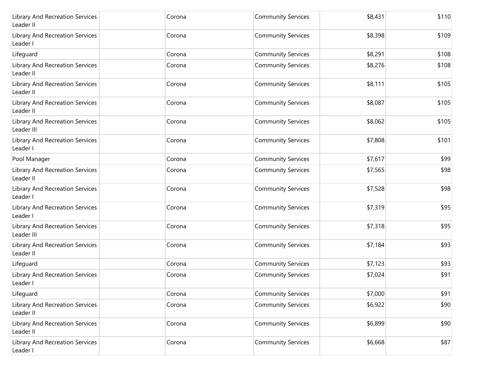| Library And Recreation Services<br>Leader II       | Corona | <b>Community Services</b> | \$8,431 | \$110 |
|----------------------------------------------------|--------|---------------------------|---------|-------|
| Library And Recreation Services<br>Leader I        | Corona | <b>Community Services</b> | \$8,398 | \$109 |
| Lifeguard                                          | Corona | <b>Community Services</b> | \$8,291 | \$108 |
| Library And Recreation Services<br>Leader II       | Corona | <b>Community Services</b> | \$8,276 | \$108 |
| Library And Recreation Services<br>Leader II       | Corona | <b>Community Services</b> | \$8,111 | \$105 |
| Library And Recreation Services<br>Leader II       | Corona | <b>Community Services</b> | \$8,087 | \$105 |
| Library And Recreation Services<br>Leader III      | Corona | <b>Community Services</b> | \$8,062 | \$105 |
| Library And Recreation Services<br>Leader I        | Corona | <b>Community Services</b> | \$7,808 | \$101 |
| Pool Manager                                       | Corona | <b>Community Services</b> | \$7,617 | \$99  |
| Library And Recreation Services<br>Leader II       | Corona | <b>Community Services</b> | \$7,565 | \$98  |
| Library And Recreation Services<br>Leader I        | Corona | <b>Community Services</b> | \$7,528 | \$98  |
| Library And Recreation Services<br>Leader I        | Corona | <b>Community Services</b> | \$7,319 | \$95  |
| Library And Recreation Services<br>Leader III      | Corona | <b>Community Services</b> | \$7,318 | \$95  |
| Library And Recreation Services<br>Leader II       | Corona | <b>Community Services</b> | \$7,184 | \$93  |
| Lifeguard                                          | Corona | <b>Community Services</b> | \$7,123 | \$93  |
| <b>Library And Recreation Services</b><br>Leader I | Corona | <b>Community Services</b> | \$7,024 | \$91  |
| Lifeguard                                          | Corona | <b>Community Services</b> | \$7,000 | \$91  |
| Library And Recreation Services<br>Leader II       | Corona | <b>Community Services</b> | \$6,922 | \$90  |
| Library And Recreation Services<br>Leader II       | Corona | <b>Community Services</b> | \$6,899 | \$90  |
| Library And Recreation Services<br>Leader I        | Corona | <b>Community Services</b> | \$6,668 | \$87  |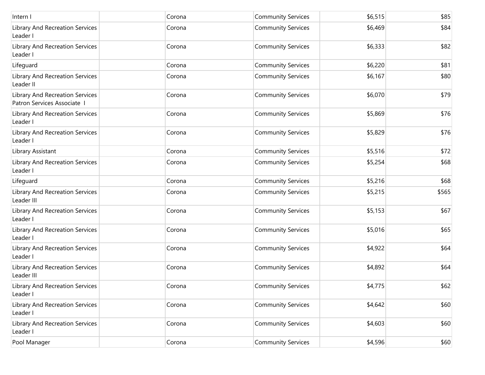| Intern I                                                     | Corona | <b>Community Services</b> | \$6,515 | \$85  |
|--------------------------------------------------------------|--------|---------------------------|---------|-------|
| Library And Recreation Services<br>Leader I                  | Corona | <b>Community Services</b> | \$6,469 | \$84  |
| Library And Recreation Services<br>Leader I                  | Corona | <b>Community Services</b> | \$6,333 | \$82  |
| Lifeguard                                                    | Corona | <b>Community Services</b> | \$6,220 | \$81  |
| Library And Recreation Services<br>Leader II                 | Corona | <b>Community Services</b> | \$6,167 | \$80  |
| Library And Recreation Services<br>Patron Services Associate | Corona | <b>Community Services</b> | \$6,070 | \$79  |
| Library And Recreation Services<br>Leader I                  | Corona | <b>Community Services</b> | \$5,869 | \$76  |
| Library And Recreation Services<br>Leader I                  | Corona | <b>Community Services</b> | \$5,829 | \$76  |
| Library Assistant                                            | Corona | <b>Community Services</b> | \$5,516 | \$72  |
| Library And Recreation Services<br>Leader I                  | Corona | <b>Community Services</b> | \$5,254 | \$68  |
| Lifeguard                                                    | Corona | <b>Community Services</b> | \$5,216 | \$68  |
| Library And Recreation Services<br>Leader III                | Corona | <b>Community Services</b> | \$5,215 | \$565 |
| Library And Recreation Services<br>Leader I                  | Corona | <b>Community Services</b> | \$5,153 | \$67  |
| Library And Recreation Services<br>Leader I                  | Corona | <b>Community Services</b> | \$5,016 | \$65  |
| Library And Recreation Services<br>Leader I                  | Corona | <b>Community Services</b> | \$4,922 | \$64  |
| Library And Recreation Services<br>Leader III                | Corona | <b>Community Services</b> | \$4,892 | \$64  |
| Library And Recreation Services<br>Leader I                  | Corona | <b>Community Services</b> | \$4,775 | \$62  |
| Library And Recreation Services<br>Leader I                  | Corona | <b>Community Services</b> | \$4,642 | \$60  |
| Library And Recreation Services<br>Leader I                  | Corona | <b>Community Services</b> | \$4,603 | \$60  |
| Pool Manager                                                 | Corona | <b>Community Services</b> | \$4,596 | \$60  |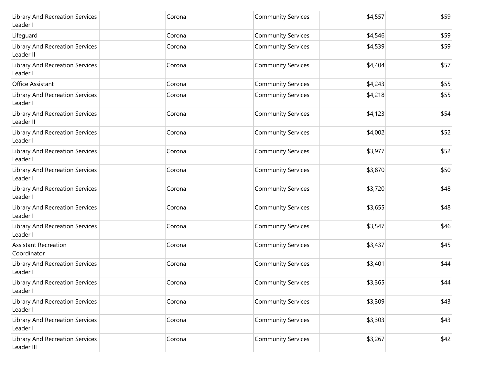| <b>Library And Recreation Services</b><br>Leader I | Corona | <b>Community Services</b> | \$4,557 | \$59 |
|----------------------------------------------------|--------|---------------------------|---------|------|
| Lifeguard                                          | Corona | <b>Community Services</b> | \$4,546 | \$59 |
| Library And Recreation Services<br>Leader II       | Corona | <b>Community Services</b> | \$4,539 | \$59 |
| Library And Recreation Services<br>Leader I        | Corona | <b>Community Services</b> | \$4,404 | \$57 |
| Office Assistant                                   | Corona | <b>Community Services</b> | \$4,243 | \$55 |
| Library And Recreation Services<br>Leader I        | Corona | <b>Community Services</b> | \$4,218 | \$55 |
| Library And Recreation Services<br>Leader II       | Corona | <b>Community Services</b> | \$4,123 | \$54 |
| Library And Recreation Services<br>Leader I        | Corona | <b>Community Services</b> | \$4,002 | \$52 |
| Library And Recreation Services<br>Leader I        | Corona | <b>Community Services</b> | \$3,977 | \$52 |
| Library And Recreation Services<br>Leader I        | Corona | <b>Community Services</b> | \$3,870 | \$50 |
| Library And Recreation Services<br>Leader I        | Corona | <b>Community Services</b> | \$3,720 | \$48 |
| Library And Recreation Services<br>Leader I        | Corona | <b>Community Services</b> | \$3,655 | \$48 |
| Library And Recreation Services<br>Leader I        | Corona | <b>Community Services</b> | \$3,547 | \$46 |
| <b>Assistant Recreation</b><br>Coordinator         | Corona | <b>Community Services</b> | \$3,437 | \$45 |
| Library And Recreation Services<br>Leader I        | Corona | <b>Community Services</b> | \$3,401 | \$44 |
| Library And Recreation Services<br>Leader I        | Corona | <b>Community Services</b> | \$3,365 | \$44 |
| Library And Recreation Services<br>Leader I        | Corona | <b>Community Services</b> | \$3,309 | \$43 |
| Library And Recreation Services<br>Leader I        | Corona | <b>Community Services</b> | \$3,303 | \$43 |
| Library And Recreation Services<br>Leader III      | Corona | <b>Community Services</b> | \$3,267 | \$42 |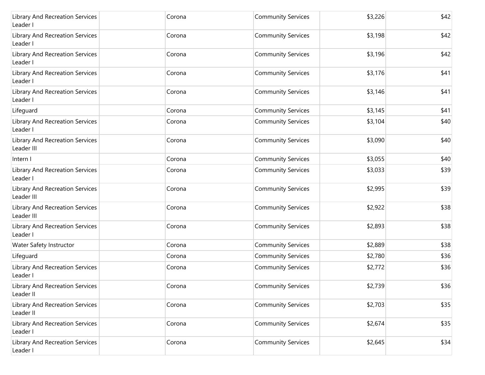| Library And Recreation Services<br>Leader I        | Corona | <b>Community Services</b> | \$3,226 | \$42 |
|----------------------------------------------------|--------|---------------------------|---------|------|
| Library And Recreation Services<br>Leader I        | Corona | <b>Community Services</b> | \$3,198 | \$42 |
| Library And Recreation Services<br>Leader I        | Corona | <b>Community Services</b> | \$3,196 | \$42 |
| Library And Recreation Services<br>Leader I        | Corona | <b>Community Services</b> | \$3,176 | \$41 |
| <b>Library And Recreation Services</b><br>Leader I | Corona | <b>Community Services</b> | \$3,146 | \$41 |
| Lifeguard                                          | Corona | <b>Community Services</b> | \$3,145 | \$41 |
| Library And Recreation Services<br>Leader I        | Corona | <b>Community Services</b> | \$3,104 | \$40 |
| Library And Recreation Services<br>Leader III      | Corona | <b>Community Services</b> | \$3,090 | \$40 |
| Intern I                                           | Corona | <b>Community Services</b> | \$3,055 | \$40 |
| Library And Recreation Services<br>Leader I        | Corona | <b>Community Services</b> | \$3,033 | \$39 |
| Library And Recreation Services<br>Leader III      | Corona | <b>Community Services</b> | \$2,995 | \$39 |
| Library And Recreation Services<br>Leader III      | Corona | <b>Community Services</b> | \$2,922 | \$38 |
| Library And Recreation Services<br>Leader I        | Corona | <b>Community Services</b> | \$2,893 | \$38 |
| Water Safety Instructor                            | Corona | <b>Community Services</b> | \$2,889 | \$38 |
| Lifeguard                                          | Corona | <b>Community Services</b> | \$2,780 | \$36 |
| Library And Recreation Services<br>Leader I        | Corona | <b>Community Services</b> | \$2,772 | \$36 |
| Library And Recreation Services<br>Leader II       | Corona | <b>Community Services</b> | \$2,739 | \$36 |
| Library And Recreation Services<br>Leader II       | Corona | <b>Community Services</b> | \$2,703 | \$35 |
| Library And Recreation Services<br>Leader I        | Corona | <b>Community Services</b> | \$2,674 | \$35 |
| Library And Recreation Services<br>Leader I        | Corona | <b>Community Services</b> | \$2,645 | \$34 |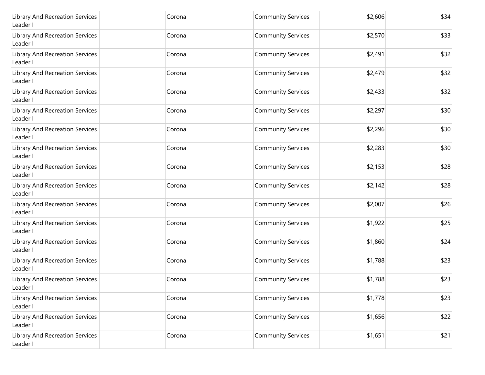| Library And Recreation Services<br>Leader I        | Corona | <b>Community Services</b> | \$2,606 | \$34 |
|----------------------------------------------------|--------|---------------------------|---------|------|
| Library And Recreation Services<br>Leader I        | Corona | <b>Community Services</b> | \$2,570 | \$33 |
| Library And Recreation Services<br>Leader I        | Corona | <b>Community Services</b> | \$2,491 | \$32 |
| Library And Recreation Services<br>Leader I        | Corona | <b>Community Services</b> | \$2,479 | \$32 |
| Library And Recreation Services<br>Leader I        | Corona | <b>Community Services</b> | \$2,433 | \$32 |
| Library And Recreation Services<br>Leader I        | Corona | <b>Community Services</b> | \$2,297 | \$30 |
| Library And Recreation Services<br>Leader I        | Corona | <b>Community Services</b> | \$2,296 | \$30 |
| Library And Recreation Services<br>Leader I        | Corona | <b>Community Services</b> | \$2,283 | \$30 |
| Library And Recreation Services<br>Leader I        | Corona | <b>Community Services</b> | \$2,153 | \$28 |
| Library And Recreation Services<br>Leader I        | Corona | <b>Community Services</b> | \$2,142 | \$28 |
| Library And Recreation Services<br>Leader I        | Corona | <b>Community Services</b> | \$2,007 | \$26 |
| Library And Recreation Services<br>Leader I        | Corona | <b>Community Services</b> | \$1,922 | \$25 |
| Library And Recreation Services<br>Leader I        | Corona | <b>Community Services</b> | \$1,860 | \$24 |
| Library And Recreation Services<br>Leader I        | Corona | <b>Community Services</b> | \$1,788 | \$23 |
| <b>Library And Recreation Services</b><br>Leader I | Corona | <b>Community Services</b> | \$1,788 | \$23 |
| Library And Recreation Services<br>Leader I        | Corona | <b>Community Services</b> | \$1,778 | \$23 |
| Library And Recreation Services<br>Leader I        | Corona | <b>Community Services</b> | \$1,656 | \$22 |
| Library And Recreation Services<br>Leader I        | Corona | <b>Community Services</b> | \$1,651 | \$21 |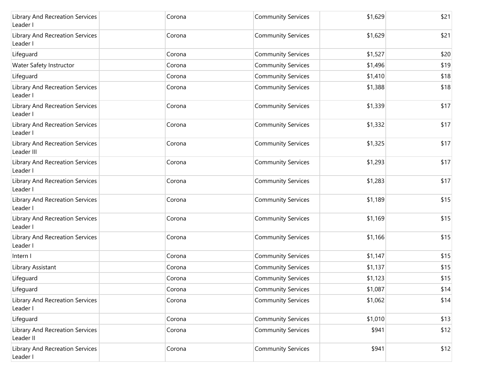| Library And Recreation Services<br>Leader I   | Corona | <b>Community Services</b> | \$1,629 | \$21 |
|-----------------------------------------------|--------|---------------------------|---------|------|
| Library And Recreation Services<br>Leader I   | Corona | <b>Community Services</b> | \$1,629 | \$21 |
| Lifeguard                                     | Corona | <b>Community Services</b> | \$1,527 | \$20 |
| Water Safety Instructor                       | Corona | <b>Community Services</b> | \$1,496 | \$19 |
| Lifeguard                                     | Corona | <b>Community Services</b> | \$1,410 | \$18 |
| Library And Recreation Services<br>Leader I   | Corona | <b>Community Services</b> | \$1,388 | \$18 |
| Library And Recreation Services<br>Leader I   | Corona | <b>Community Services</b> | \$1,339 | \$17 |
| Library And Recreation Services<br>Leader I   | Corona | <b>Community Services</b> | \$1,332 | \$17 |
| Library And Recreation Services<br>Leader III | Corona | <b>Community Services</b> | \$1,325 | \$17 |
| Library And Recreation Services<br>Leader I   | Corona | <b>Community Services</b> | \$1,293 | \$17 |
| Library And Recreation Services<br>Leader I   | Corona | <b>Community Services</b> | \$1,283 | \$17 |
| Library And Recreation Services<br>Leader I   | Corona | <b>Community Services</b> | \$1,189 | \$15 |
| Library And Recreation Services<br>Leader I   | Corona | <b>Community Services</b> | \$1,169 | \$15 |
| Library And Recreation Services<br>Leader I   | Corona | <b>Community Services</b> | \$1,166 | \$15 |
| Intern I                                      | Corona | <b>Community Services</b> | \$1,147 | \$15 |
| Library Assistant                             | Corona | <b>Community Services</b> | \$1,137 | \$15 |
| Lifeguard                                     | Corona | <b>Community Services</b> | \$1,123 | \$15 |
| Lifeguard                                     | Corona | <b>Community Services</b> | \$1,087 | \$14 |
| Library And Recreation Services<br>Leader I   | Corona | <b>Community Services</b> | \$1,062 | \$14 |
| Lifeguard                                     | Corona | <b>Community Services</b> | \$1,010 | \$13 |
| Library And Recreation Services<br>Leader II  | Corona | <b>Community Services</b> | \$941   | \$12 |
| Library And Recreation Services<br>Leader I   | Corona | <b>Community Services</b> | \$941   | \$12 |